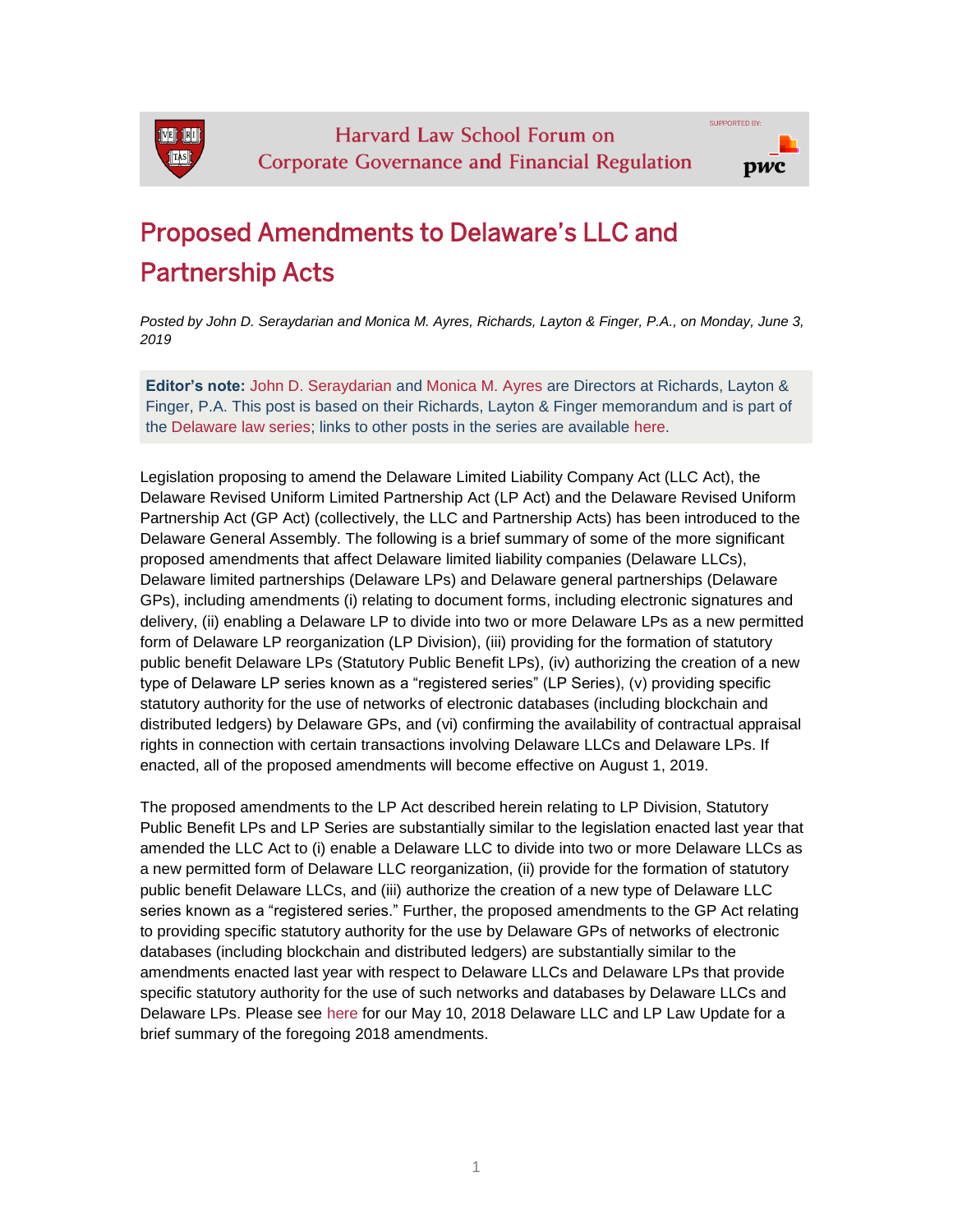

# Proposed Amendments to Delaware's LLC and Partnership Acts

*Posted by John D. Seraydarian and Monica M. Ayres, Richards, Layton & Finger, P.A., on Monday, June 3, 2019*

**Editor's note:** [John D. Seraydarian](https://www.rlf.com/Lawyers/JohnDSeraydarian) and [Monica M. Ayres](https://www.rlf.com/lawyers/monicamayres?nonmobile=1) are Directors at Richards, Layton & Finger, P.A. This post is based on their Richards, Layton & Finger memorandum and is part of the [Delaware law series;](http://blogs.law.harvard.edu/corpgov/the-delaware-law-series/) links to other posts in the series are available [here.](http://blogs.law.harvard.edu/corpgov/the-delaware-law-series/)

Legislation proposing to amend the Delaware Limited Liability Company Act (LLC Act), the Delaware Revised Uniform Limited Partnership Act (LP Act) and the Delaware Revised Uniform Partnership Act (GP Act) (collectively, the LLC and Partnership Acts) has been introduced to the Delaware General Assembly. The following is a brief summary of some of the more significant proposed amendments that affect Delaware limited liability companies (Delaware LLCs), Delaware limited partnerships (Delaware LPs) and Delaware general partnerships (Delaware GPs), including amendments (i) relating to document forms, including electronic signatures and delivery, (ii) enabling a Delaware LP to divide into two or more Delaware LPs as a new permitted form of Delaware LP reorganization (LP Division), (iii) providing for the formation of statutory public benefit Delaware LPs (Statutory Public Benefit LPs), (iv) authorizing the creation of a new type of Delaware LP series known as a "registered series" (LP Series), (v) providing specific statutory authority for the use of networks of electronic databases (including blockchain and distributed ledgers) by Delaware GPs, and (vi) confirming the availability of contractual appraisal rights in connection with certain transactions involving Delaware LLCs and Delaware LPs. If enacted, all of the proposed amendments will become effective on August 1, 2019.

The proposed amendments to the LP Act described herein relating to LP Division, Statutory Public Benefit LPs and LP Series are substantially similar to the legislation enacted last year that amended the LLC Act to (i) enable a Delaware LLC to divide into two or more Delaware LLCs as a new permitted form of Delaware LLC reorganization, (ii) provide for the formation of statutory public benefit Delaware LLCs, and (iii) authorize the creation of a new type of Delaware LLC series known as a "registered series." Further, the proposed amendments to the GP Act relating to providing specific statutory authority for the use by Delaware GPs of networks of electronic databases (including blockchain and distributed ledgers) are substantially similar to the amendments enacted last year with respect to Delaware LLCs and Delaware LPs that provide specific statutory authority for the use of such networks and databases by Delaware LLCs and Delaware LPs. Please see [here](http://www.rlf.com/Publications/7329) for our May 10, 2018 Delaware LLC and LP Law Update for a brief summary of the foregoing 2018 amendments.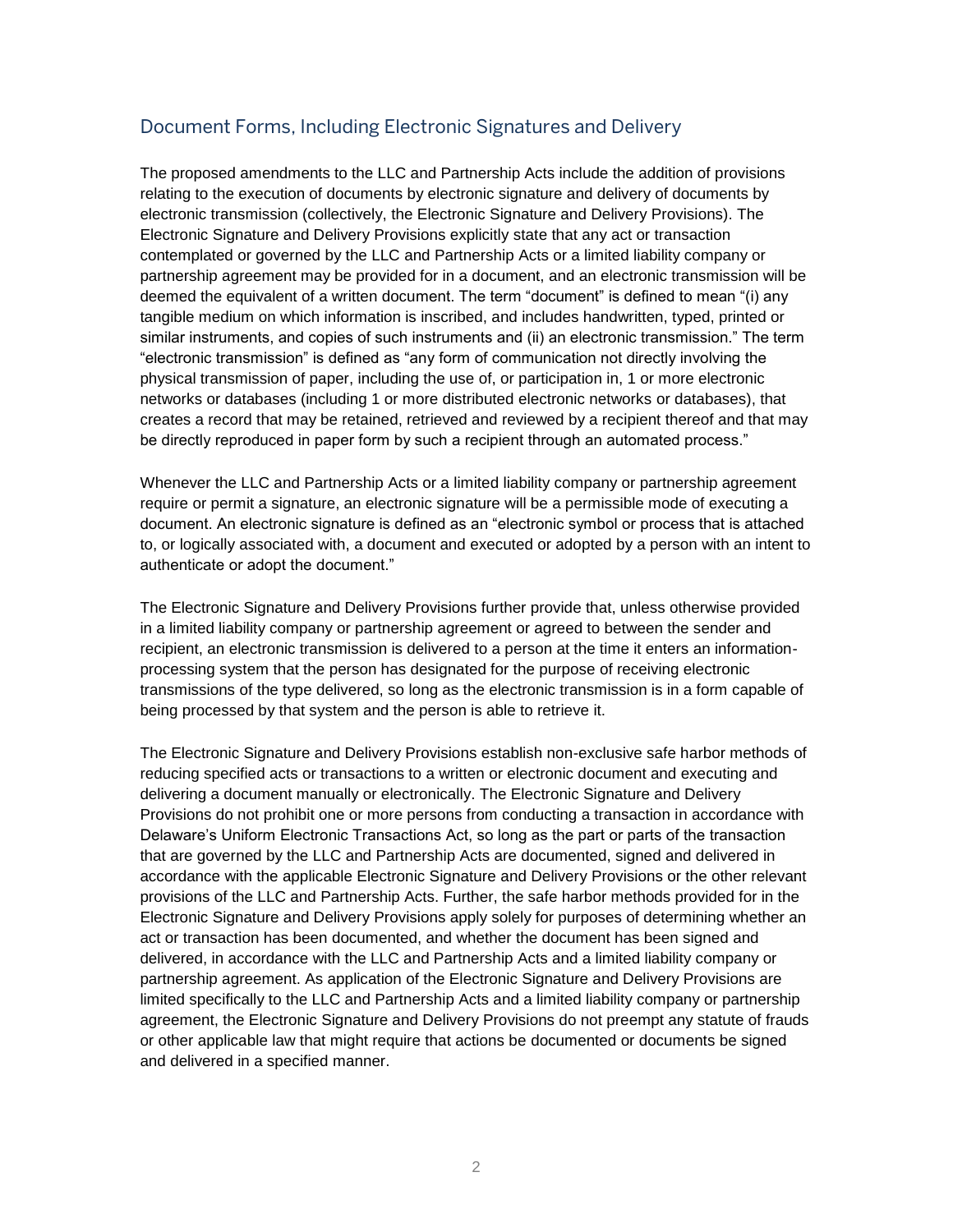# Document Forms, Including Electronic Signatures and Delivery

The proposed amendments to the LLC and Partnership Acts include the addition of provisions relating to the execution of documents by electronic signature and delivery of documents by electronic transmission (collectively, the Electronic Signature and Delivery Provisions). The Electronic Signature and Delivery Provisions explicitly state that any act or transaction contemplated or governed by the LLC and Partnership Acts or a limited liability company or partnership agreement may be provided for in a document, and an electronic transmission will be deemed the equivalent of a written document. The term "document" is defined to mean "(i) any tangible medium on which information is inscribed, and includes handwritten, typed, printed or similar instruments, and copies of such instruments and (ii) an electronic transmission." The term "electronic transmission" is defined as "any form of communication not directly involving the physical transmission of paper, including the use of, or participation in, 1 or more electronic networks or databases (including 1 or more distributed electronic networks or databases), that creates a record that may be retained, retrieved and reviewed by a recipient thereof and that may be directly reproduced in paper form by such a recipient through an automated process."

Whenever the LLC and Partnership Acts or a limited liability company or partnership agreement require or permit a signature, an electronic signature will be a permissible mode of executing a document. An electronic signature is defined as an "electronic symbol or process that is attached to, or logically associated with, a document and executed or adopted by a person with an intent to authenticate or adopt the document."

The Electronic Signature and Delivery Provisions further provide that, unless otherwise provided in a limited liability company or partnership agreement or agreed to between the sender and recipient, an electronic transmission is delivered to a person at the time it enters an informationprocessing system that the person has designated for the purpose of receiving electronic transmissions of the type delivered, so long as the electronic transmission is in a form capable of being processed by that system and the person is able to retrieve it.

The Electronic Signature and Delivery Provisions establish non-exclusive safe harbor methods of reducing specified acts or transactions to a written or electronic document and executing and delivering a document manually or electronically. The Electronic Signature and Delivery Provisions do not prohibit one or more persons from conducting a transaction in accordance with Delaware's Uniform Electronic Transactions Act, so long as the part or parts of the transaction that are governed by the LLC and Partnership Acts are documented, signed and delivered in accordance with the applicable Electronic Signature and Delivery Provisions or the other relevant provisions of the LLC and Partnership Acts. Further, the safe harbor methods provided for in the Electronic Signature and Delivery Provisions apply solely for purposes of determining whether an act or transaction has been documented, and whether the document has been signed and delivered, in accordance with the LLC and Partnership Acts and a limited liability company or partnership agreement. As application of the Electronic Signature and Delivery Provisions are limited specifically to the LLC and Partnership Acts and a limited liability company or partnership agreement, the Electronic Signature and Delivery Provisions do not preempt any statute of frauds or other applicable law that might require that actions be documented or documents be signed and delivered in a specified manner.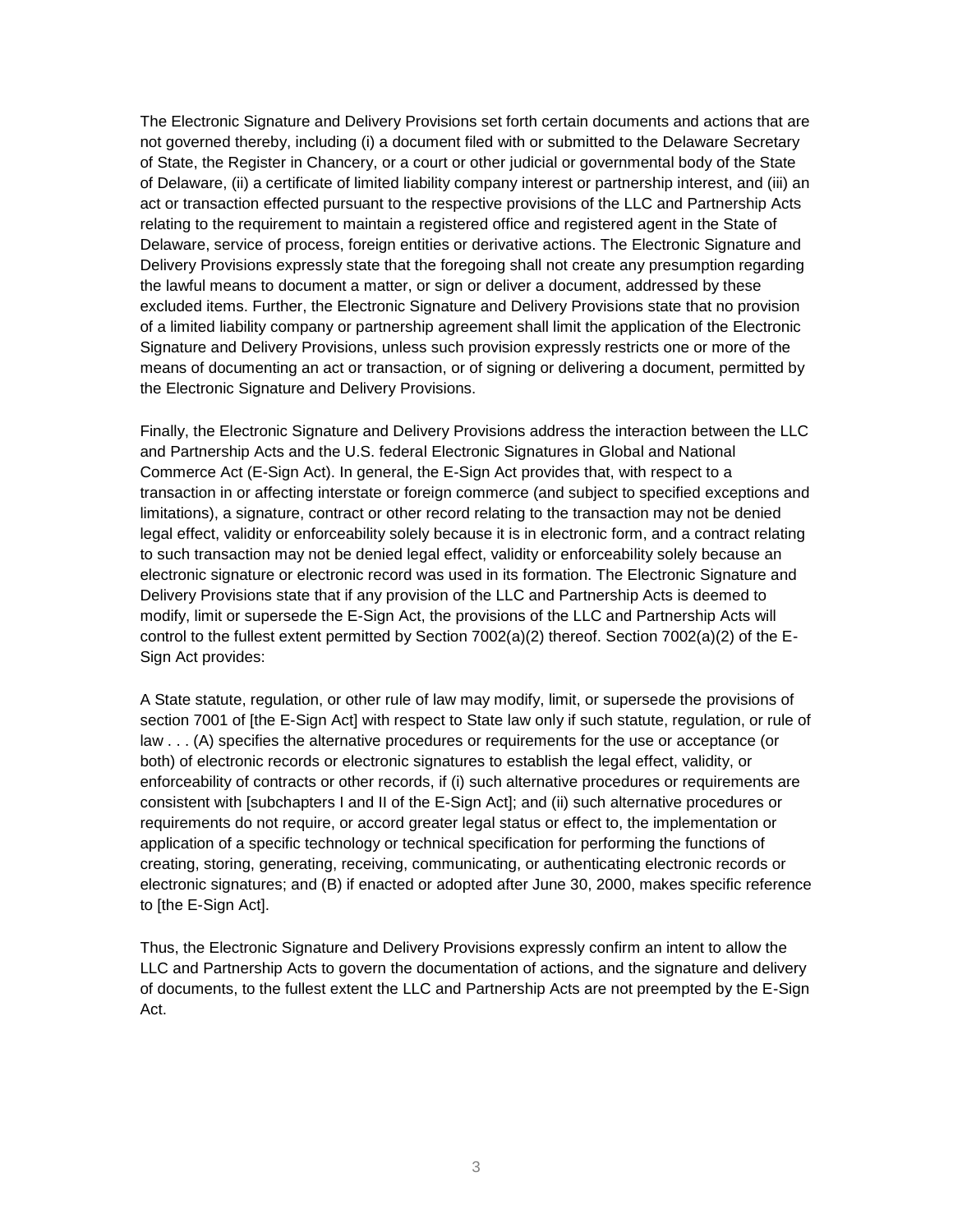The Electronic Signature and Delivery Provisions set forth certain documents and actions that are not governed thereby, including (i) a document filed with or submitted to the Delaware Secretary of State, the Register in Chancery, or a court or other judicial or governmental body of the State of Delaware, (ii) a certificate of limited liability company interest or partnership interest, and (iii) an act or transaction effected pursuant to the respective provisions of the LLC and Partnership Acts relating to the requirement to maintain a registered office and registered agent in the State of Delaware, service of process, foreign entities or derivative actions. The Electronic Signature and Delivery Provisions expressly state that the foregoing shall not create any presumption regarding the lawful means to document a matter, or sign or deliver a document, addressed by these excluded items. Further, the Electronic Signature and Delivery Provisions state that no provision of a limited liability company or partnership agreement shall limit the application of the Electronic Signature and Delivery Provisions, unless such provision expressly restricts one or more of the means of documenting an act or transaction, or of signing or delivering a document, permitted by the Electronic Signature and Delivery Provisions.

Finally, the Electronic Signature and Delivery Provisions address the interaction between the LLC and Partnership Acts and the U.S. federal Electronic Signatures in Global and National Commerce Act (E-Sign Act). In general, the E-Sign Act provides that, with respect to a transaction in or affecting interstate or foreign commerce (and subject to specified exceptions and limitations), a signature, contract or other record relating to the transaction may not be denied legal effect, validity or enforceability solely because it is in electronic form, and a contract relating to such transaction may not be denied legal effect, validity or enforceability solely because an electronic signature or electronic record was used in its formation. The Electronic Signature and Delivery Provisions state that if any provision of the LLC and Partnership Acts is deemed to modify, limit or supersede the E-Sign Act, the provisions of the LLC and Partnership Acts will control to the fullest extent permitted by Section  $7002(a)(2)$  thereof. Section  $7002(a)(2)$  of the E-Sign Act provides:

A State statute, regulation, or other rule of law may modify, limit, or supersede the provisions of section 7001 of [the E-Sign Act] with respect to State law only if such statute, regulation, or rule of law . . . (A) specifies the alternative procedures or requirements for the use or acceptance (or both) of electronic records or electronic signatures to establish the legal effect, validity, or enforceability of contracts or other records, if (i) such alternative procedures or requirements are consistent with [subchapters I and II of the E-Sign Act]; and (ii) such alternative procedures or requirements do not require, or accord greater legal status or effect to, the implementation or application of a specific technology or technical specification for performing the functions of creating, storing, generating, receiving, communicating, or authenticating electronic records or electronic signatures; and (B) if enacted or adopted after June 30, 2000, makes specific reference to [the E-Sign Act].

Thus, the Electronic Signature and Delivery Provisions expressly confirm an intent to allow the LLC and Partnership Acts to govern the documentation of actions, and the signature and delivery of documents, to the fullest extent the LLC and Partnership Acts are not preempted by the E-Sign Act.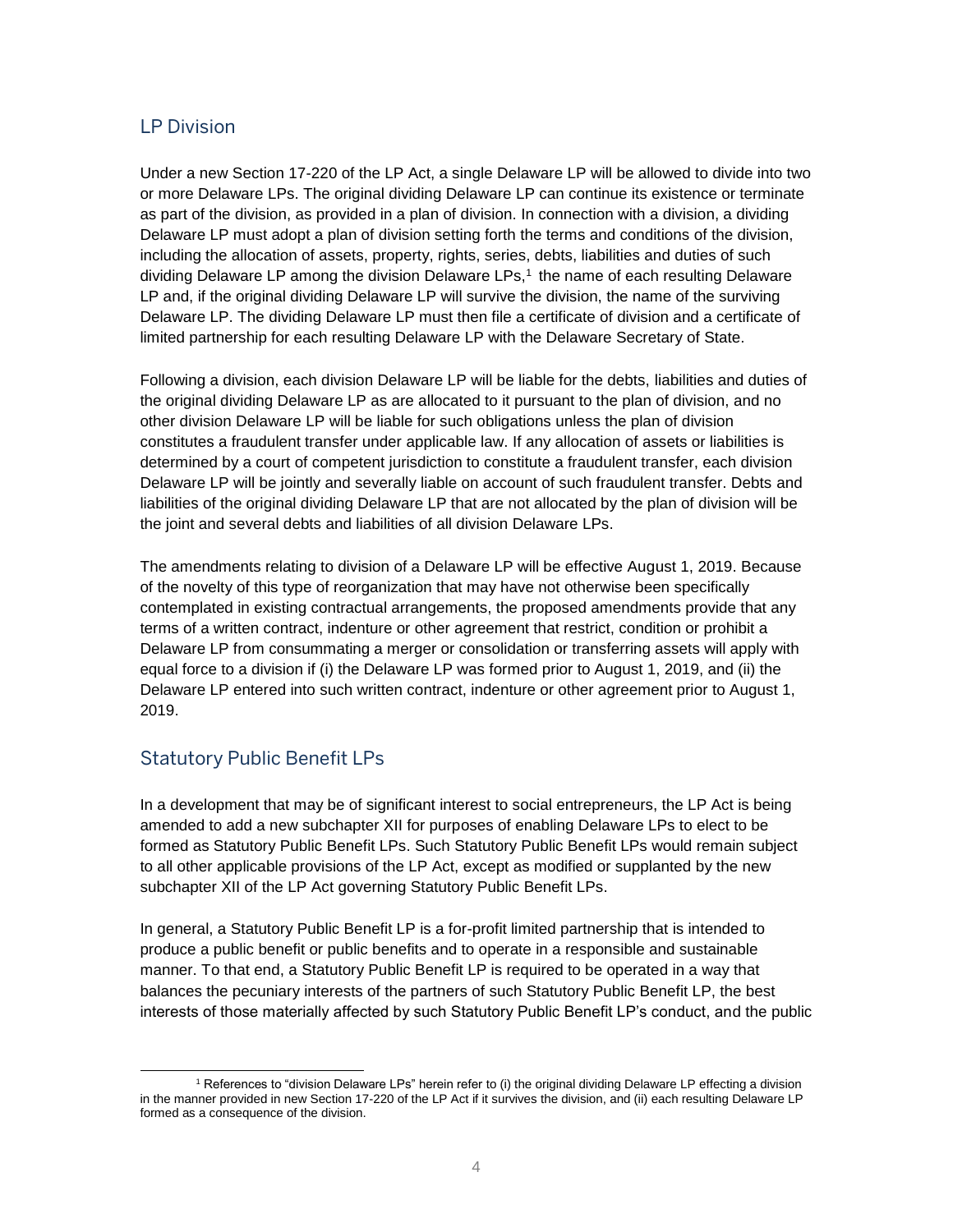### LP Division

Under a new Section 17-220 of the LP Act, a single Delaware LP will be allowed to divide into two or more Delaware LPs. The original dividing Delaware LP can continue its existence or terminate as part of the division, as provided in a plan of division. In connection with a division, a dividing Delaware LP must adopt a plan of division setting forth the terms and conditions of the division, including the allocation of assets, property, rights, series, debts, liabilities and duties of such dividing Delaware LP among the division Delaware LPs,<sup>1</sup> the name of each resulting Delaware LP and, if the original dividing Delaware LP will survive the division, the name of the surviving Delaware LP. The dividing Delaware LP must then file a certificate of division and a certificate of limited partnership for each resulting Delaware LP with the Delaware Secretary of State.

Following a division, each division Delaware LP will be liable for the debts, liabilities and duties of the original dividing Delaware LP as are allocated to it pursuant to the plan of division, and no other division Delaware LP will be liable for such obligations unless the plan of division constitutes a fraudulent transfer under applicable law. If any allocation of assets or liabilities is determined by a court of competent jurisdiction to constitute a fraudulent transfer, each division Delaware LP will be jointly and severally liable on account of such fraudulent transfer. Debts and liabilities of the original dividing Delaware LP that are not allocated by the plan of division will be the joint and several debts and liabilities of all division Delaware LPs.

The amendments relating to division of a Delaware LP will be effective August 1, 2019. Because of the novelty of this type of reorganization that may have not otherwise been specifically contemplated in existing contractual arrangements, the proposed amendments provide that any terms of a written contract, indenture or other agreement that restrict, condition or prohibit a Delaware LP from consummating a merger or consolidation or transferring assets will apply with equal force to a division if (i) the Delaware LP was formed prior to August 1, 2019, and (ii) the Delaware LP entered into such written contract, indenture or other agreement prior to August 1, 2019.

#### Statutory Public Benefit LPs

In a development that may be of significant interest to social entrepreneurs, the LP Act is being amended to add a new subchapter XII for purposes of enabling Delaware LPs to elect to be formed as Statutory Public Benefit LPs. Such Statutory Public Benefit LPs would remain subject to all other applicable provisions of the LP Act, except as modified or supplanted by the new subchapter XII of the LP Act governing Statutory Public Benefit LPs.

In general, a Statutory Public Benefit LP is a for-profit limited partnership that is intended to produce a public benefit or public benefits and to operate in a responsible and sustainable manner. To that end, a Statutory Public Benefit LP is required to be operated in a way that balances the pecuniary interests of the partners of such Statutory Public Benefit LP, the best interests of those materially affected by such Statutory Public Benefit LP's conduct, and the public

l <sup>1</sup> References to "division Delaware LPs" herein refer to (i) the original dividing Delaware LP effecting a division in the manner provided in new Section 17-220 of the LP Act if it survives the division, and (ii) each resulting Delaware LP formed as a consequence of the division.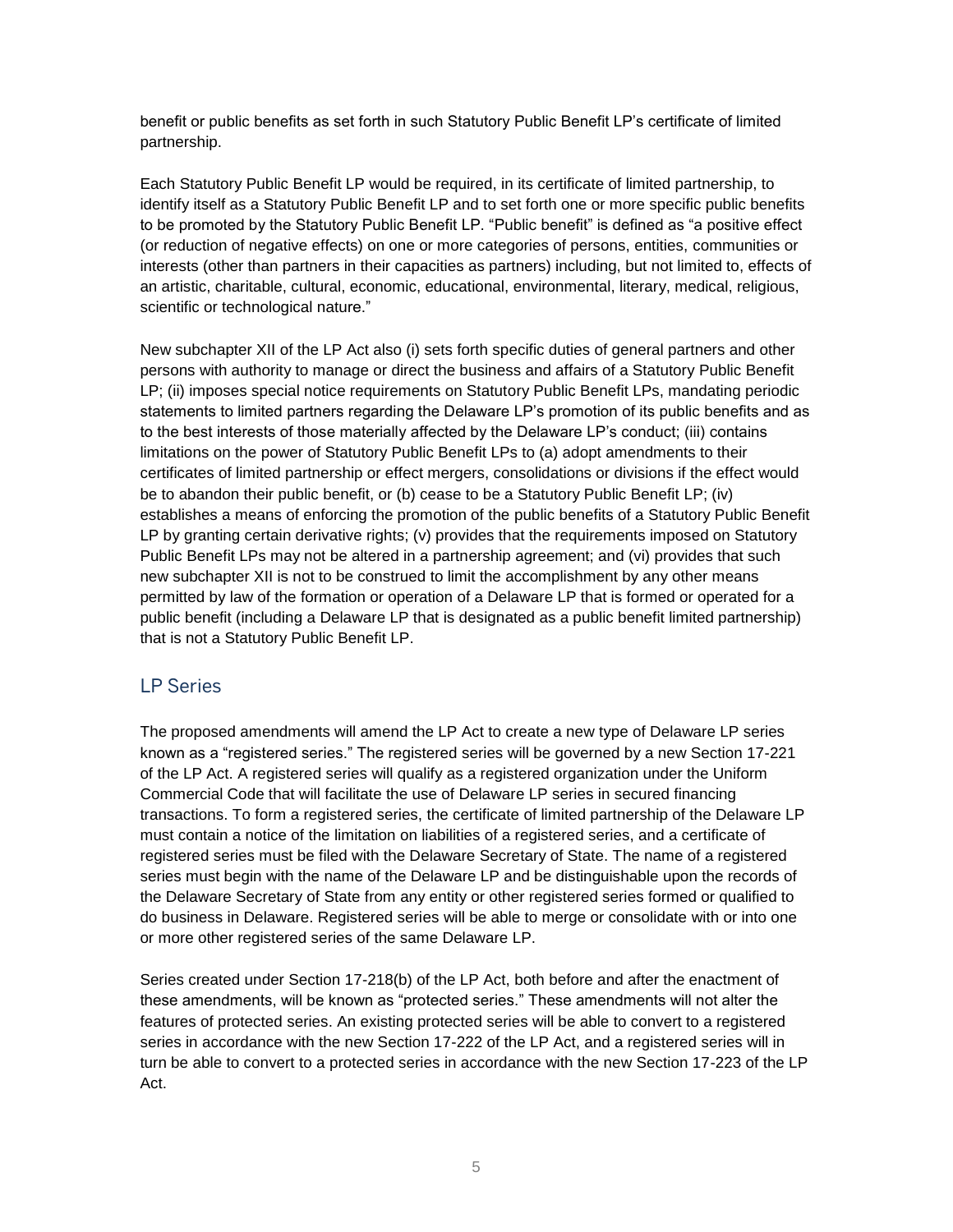benefit or public benefits as set forth in such Statutory Public Benefit LP's certificate of limited partnership.

Each Statutory Public Benefit LP would be required, in its certificate of limited partnership, to identify itself as a Statutory Public Benefit LP and to set forth one or more specific public benefits to be promoted by the Statutory Public Benefit LP. "Public benefit" is defined as "a positive effect (or reduction of negative effects) on one or more categories of persons, entities, communities or interests (other than partners in their capacities as partners) including, but not limited to, effects of an artistic, charitable, cultural, economic, educational, environmental, literary, medical, religious, scientific or technological nature."

New subchapter XII of the LP Act also (i) sets forth specific duties of general partners and other persons with authority to manage or direct the business and affairs of a Statutory Public Benefit LP; (ii) imposes special notice requirements on Statutory Public Benefit LPs, mandating periodic statements to limited partners regarding the Delaware LP's promotion of its public benefits and as to the best interests of those materially affected by the Delaware LP's conduct; (iii) contains limitations on the power of Statutory Public Benefit LPs to (a) adopt amendments to their certificates of limited partnership or effect mergers, consolidations or divisions if the effect would be to abandon their public benefit, or (b) cease to be a Statutory Public Benefit LP; (iv) establishes a means of enforcing the promotion of the public benefits of a Statutory Public Benefit LP by granting certain derivative rights; (v) provides that the requirements imposed on Statutory Public Benefit LPs may not be altered in a partnership agreement; and (vi) provides that such new subchapter XII is not to be construed to limit the accomplishment by any other means permitted by law of the formation or operation of a Delaware LP that is formed or operated for a public benefit (including a Delaware LP that is designated as a public benefit limited partnership) that is not a Statutory Public Benefit LP.

## LP Series

The proposed amendments will amend the LP Act to create a new type of Delaware LP series known as a "registered series." The registered series will be governed by a new Section 17-221 of the LP Act. A registered series will qualify as a registered organization under the Uniform Commercial Code that will facilitate the use of Delaware LP series in secured financing transactions. To form a registered series, the certificate of limited partnership of the Delaware LP must contain a notice of the limitation on liabilities of a registered series, and a certificate of registered series must be filed with the Delaware Secretary of State. The name of a registered series must begin with the name of the Delaware LP and be distinguishable upon the records of the Delaware Secretary of State from any entity or other registered series formed or qualified to do business in Delaware. Registered series will be able to merge or consolidate with or into one or more other registered series of the same Delaware LP.

Series created under Section 17-218(b) of the LP Act, both before and after the enactment of these amendments, will be known as "protected series." These amendments will not alter the features of protected series. An existing protected series will be able to convert to a registered series in accordance with the new Section 17-222 of the LP Act, and a registered series will in turn be able to convert to a protected series in accordance with the new Section 17-223 of the LP Act.